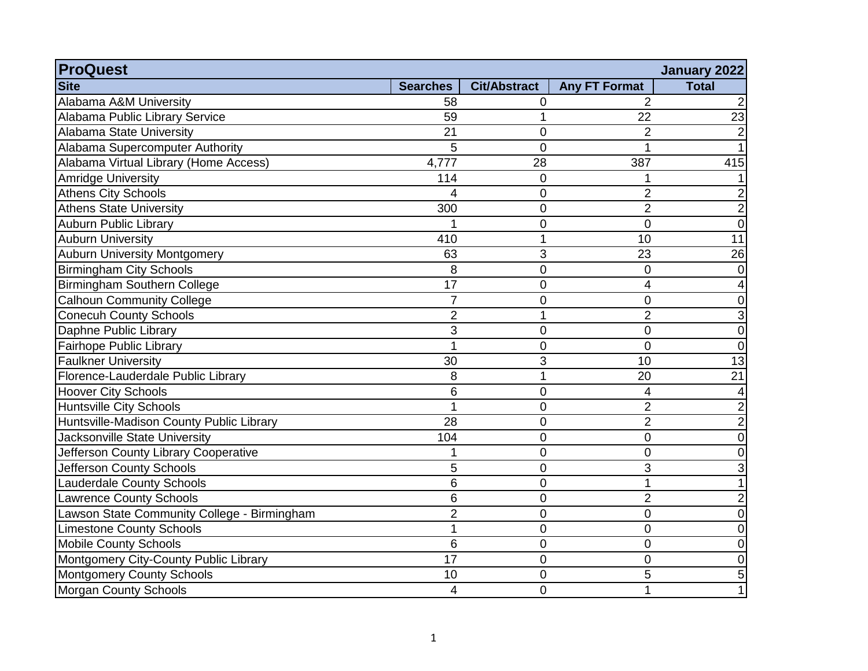| <b>ProQuest</b>                             |                 |                     |                      | January 2022    |
|---------------------------------------------|-----------------|---------------------|----------------------|-----------------|
| <b>Site</b>                                 | <b>Searches</b> | <b>Cit/Abstract</b> | <b>Any FT Format</b> | <b>Total</b>    |
| Alabama A&M University                      | 58              | 0                   | $\mathcal{P}$        |                 |
| Alabama Public Library Service              | 59              | 1                   | 22                   | 23              |
| Alabama State University                    | 21              | $\overline{0}$      | $\overline{2}$       |                 |
| Alabama Supercomputer Authority             | 5               | $\overline{0}$      |                      |                 |
| Alabama Virtual Library (Home Access)       | 4,777           | 28                  | 387                  | 415             |
| <b>Amridge University</b>                   | 114             | $\mathbf 0$         |                      |                 |
| <b>Athens City Schools</b>                  | 4               | $\overline{0}$      | $\overline{2}$       |                 |
| <b>Athens State University</b>              | 300             | $\mathbf 0$         | $\overline{2}$       | $\overline{2}$  |
| <b>Auburn Public Library</b>                |                 | $\overline{0}$      | $\Omega$             | $\overline{0}$  |
| <b>Auburn University</b>                    | 410             | $\mathbf 1$         | 10                   | 11              |
| <b>Auburn University Montgomery</b>         | 63              | 3                   | 23                   | $\overline{26}$ |
| <b>Birmingham City Schools</b>              | 8               | $\overline{0}$      | 0                    | $\Omega$        |
| Birmingham Southern College                 | 17              | $\overline{0}$      | $\overline{4}$       |                 |
| <b>Calhoun Community College</b>            | $\overline{7}$  | $\mathbf 0$         | $\mathbf 0$          | 0               |
| <b>Conecuh County Schools</b>               | 2               | 1                   | $\overline{2}$       |                 |
| Daphne Public Library                       | 3               | $\mathbf 0$         | $\mathbf 0$          | $\Omega$        |
| Fairhope Public Library                     |                 | $\overline{0}$      | $\overline{0}$       | $\overline{0}$  |
| <b>Faulkner University</b>                  | 30              | 3                   | 10                   | $\overline{13}$ |
| Florence-Lauderdale Public Library          | 8               | 1                   | 20                   | $\overline{21}$ |
| <b>Hoover City Schools</b>                  | 6               | $\mathbf 0$         | 4                    |                 |
| <b>Huntsville City Schools</b>              |                 | $\mathbf 0$         | $\overline{2}$       | 2               |
| Huntsville-Madison County Public Library    | 28              | $\mathbf 0$         | $\overline{2}$       | $\overline{2}$  |
| Jacksonville State University               | 104             | $\mathbf 0$         | 0                    | $\Omega$        |
| Jefferson County Library Cooperative        |                 | $\mathbf 0$         | 0                    | ∩               |
| Jefferson County Schools                    | 5               | $\mathbf 0$         | 3                    |                 |
| <b>Lauderdale County Schools</b>            | 6               | $\overline{0}$      | 1                    |                 |
| <b>Lawrence County Schools</b>              | 6               | $\mathbf 0$         | $\overline{2}$       | 2               |
| Lawson State Community College - Birmingham | $\overline{2}$  | $\mathbf 0$         | $\mathbf 0$          | 0               |
| <b>Limestone County Schools</b>             |                 | $\mathbf 0$         | 0                    | 0               |
| <b>Mobile County Schools</b>                | 6               | $\mathbf 0$         | 0                    | 0               |
| Montgomery City-County Public Library       | 17              | $\mathbf 0$         | $\overline{0}$       | 0               |
| <b>Montgomery County Schools</b>            | 10              | $\mathbf 0$         | 5                    | 5               |
| <b>Morgan County Schools</b>                | 4               | $\mathbf 0$         | 1                    |                 |